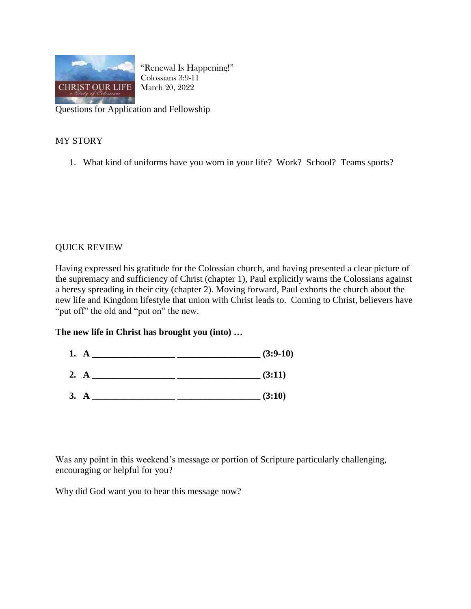

"Renewal Is Happening!" Colossians 3:9-11 March 20, 2022

Questions for Application and Fellowship

## MY STORY

1. What kind of uniforms have you worn in your life? Work? School? Teams sports?

## QUICK REVIEW

Having expressed his gratitude for the Colossian church, and having presented a clear picture of the supremacy and sufficiency of Christ (chapter 1), Paul explicitly warns the Colossians against a heresy spreading in their city (chapter 2). Moving forward, Paul exhorts the church about the new life and Kingdom lifestyle that union with Christ leads to. Coming to Christ, believers have "put off" the old and "put on" the new.

## **The new life in Christ has brought you (into) …**

- **1. A \_\_\_\_\_\_\_\_\_\_\_\_\_\_\_\_\_\_ \_\_\_\_\_\_\_\_\_\_\_\_\_\_\_\_\_\_ (3:9-10)**
- **2. A \_\_\_\_\_\_\_\_\_\_\_\_\_\_\_\_\_\_ \_\_\_\_\_\_\_\_\_\_\_\_\_\_\_\_\_\_ (3:11)**
- **3. A \_\_\_\_\_\_\_\_\_\_\_\_\_\_\_\_\_\_ \_\_\_\_\_\_\_\_\_\_\_\_\_\_\_\_\_\_ (3:10)**

Was any point in this weekend's message or portion of Scripture particularly challenging, encouraging or helpful for you?

Why did God want you to hear this message now?